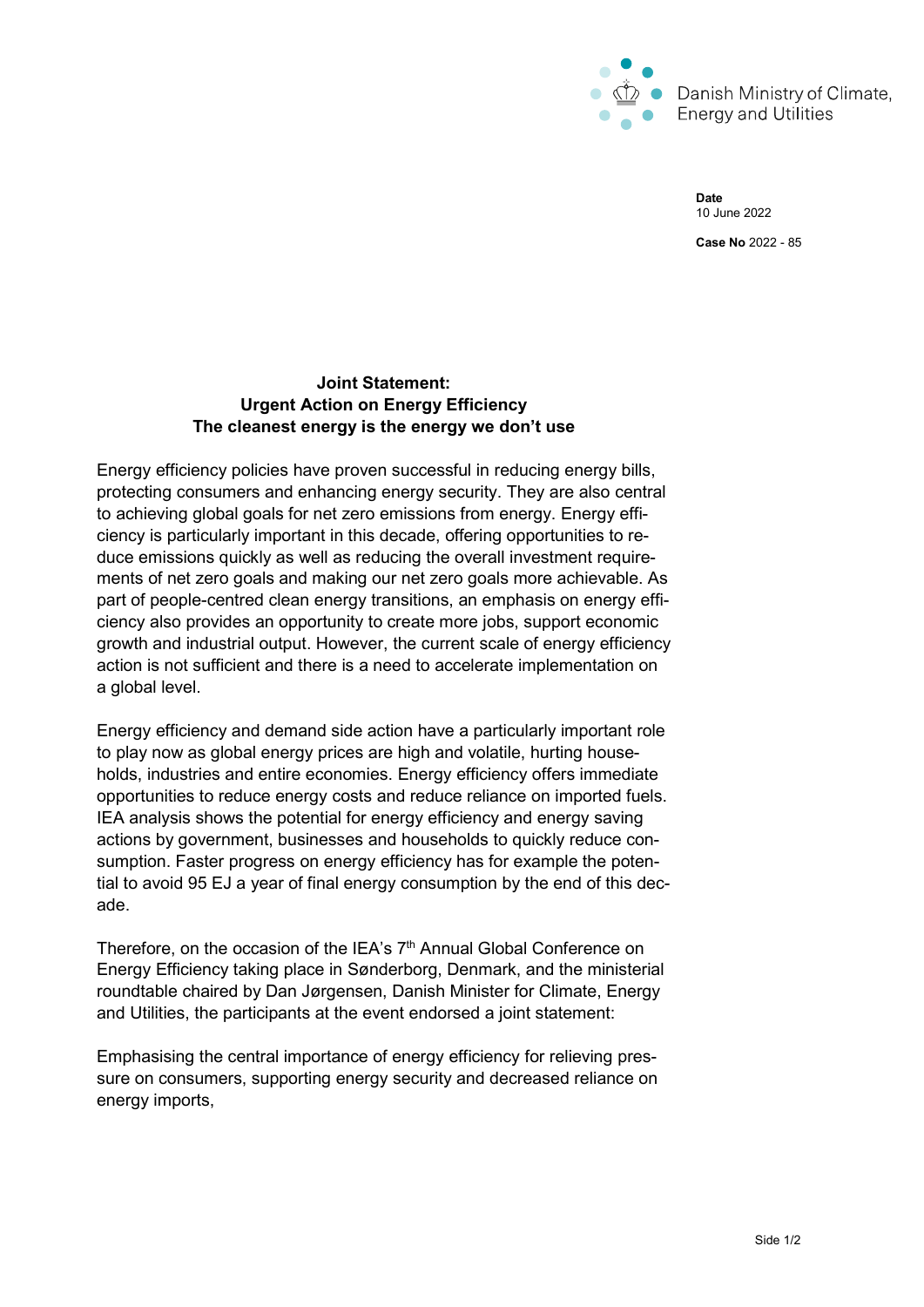

Date 10 June 2022 Case No 2022 - 85

## Joint Statement: Urgent Action on Energy Efficiency The cleanest energy is the energy we don't use

Energy efficiency policies have proven successful in reducing energy bills, protecting consumers and enhancing energy security. They are also central to achieving global goals for net zero emissions from energy. Energy efficiency is particularly important in this decade, offering opportunities to reduce emissions quickly as well as reducing the overall investment requirements of net zero goals and making our net zero goals more achievable. As part of people-centred clean energy transitions, an emphasis on energy efficiency also provides an opportunity to create more jobs, support economic growth and industrial output. However, the current scale of energy efficiency action is not sufficient and there is a need to accelerate implementation on a global level.

Energy efficiency and demand side action have a particularly important role to play now as global energy prices are high and volatile, hurting households, industries and entire economies. Energy efficiency offers immediate opportunities to reduce energy costs and reduce reliance on imported fuels. IEA analysis shows the potential for energy efficiency and energy saving actions by government, businesses and households to quickly reduce consumption. Faster progress on energy efficiency has for example the potential to avoid 95 EJ a year of final energy consumption by the end of this decade.

Therefore, on the occasion of the IEA's  $7<sup>th</sup>$  Annual Global Conference on Energy Efficiency taking place in Sønderborg, Denmark, and the ministerial roundtable chaired by Dan Jørgensen, Danish Minister for Climate, Energy and Utilities, the participants at the event endorsed a joint statement:

Emphasising the central importance of energy efficiency for relieving pressure on consumers, supporting energy security and decreased reliance on energy imports,